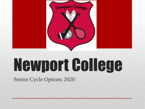

# Newport College

Senior Cycle Options 2020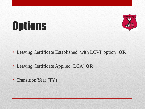

## **Options**

- Leaving Certificate Established (with LCVP option) **OR**
- Leaving Certificate Applied (LCA) **OR**
- Transition Year (TY)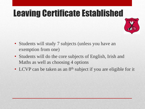#### Leaving Certificate Established



- Students will study 7 subjects (unless you have an exemption from one)
- Students will do the core subjects of English, Irish and Maths as well as choosing 4 options
- LCVP can be taken as an  $8<sup>th</sup>$  subject if you are eligible for it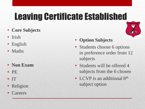#### Leaving Certificate Established

- **Core Subjects**
- **Irish**
- English
- Maths
- **Non Exam**
- PE
- IT
- Religion
- **Careers**
- **Option Subjects**
- Students choose 6 options in preference order from 12 subjects
- Students will be offered 4 subjects from the 6 chosen
- LCVP is an additional 8<sup>th</sup> subject option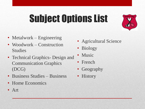## Subject Options List



- Metalwork Engineering
- Woodwork Construction Studies
- Technical Graphics- Design and Communication Graphics (DCG)
- Business Studies Business
- Home Economics
- Art
- Agricultural Science
- Biology
- **Music**
- French
- Geography
- **History**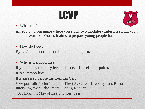

• What is it?



An add on programme where you study two modules (Enterprise Education and the World of Work). It aims to prepare young people for both.

• How do I get it?

By having the correct combination of subjects

• Why is it a good idea?

If you do any ordinary level subjects it is useful for points

It is common level

It is assessed before the Leaving Cert

60% portfolio including items like CV, Career Investigation, Recorded Interview, Work Placement Diaries, Reports

40% Exam in May of Leaving Cert year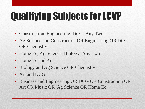## Qualifying Subjects for LCVP

- Construction, Engineering, DCG- Any Two
- Ag Science and Construction OR Engineering OR DCG OR Chemistry
- Home Ec, Ag Science, Biology-Any Two
- Home Ec and Art
- Biology and Ag Science OR Chemistry
- Art and DCG
- Business and Engineering OR DCG OR Construction OR Art OR Music OR Ag Science OR Home Ec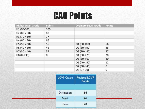#### CAO Points

| <b>Higher Level Grade</b> | <b>Points</b> | <b>Ordinary Level Grade</b> | <b>Points</b> |
|---------------------------|---------------|-----------------------------|---------------|
| H1 (90-100)               | 100           |                             |               |
| H2(80 < 90)               | 88            |                             |               |
| H3(70 < 80)               | 77            |                             |               |
| H4(60 < 70)               | 66            |                             |               |
| HS (50 < 60)              | 56            | 01 (90-100)                 | 56            |
| HG (40 < 50)              | 46            | O2(80 < 90)                 | 46            |
| H7(30 < 40)               | 37            | O3(70 < 80)                 | 37            |
| H8 (0 < 30)               | 0             | 04(60 < 70)                 | 28            |
|                           |               | O5(50 < 60)                 | 20            |
|                           |               | O6(40 < 50)                 | 12            |
|                           |               | O7(30 < 40)                 | 0             |
|                           |               | O8(0 < 30)                  | 0             |

| <b>LCVP</b> Grade  | <b>Revised LCVP</b><br><b>Points</b> |  |
|--------------------|--------------------------------------|--|
| <b>Distinction</b> | 66                                   |  |
| Merit              | 46                                   |  |
| Pass               | 28                                   |  |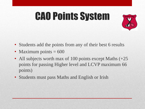## CAO Points System



- Students add the points from any of their best 6 results
- Maximum points  $= 600$
- All subjects worth max of 100 points except Maths  $(+25)$ points for passing Higher level and LCVP maximum 66 points)
- Students must pass Maths and English or Irish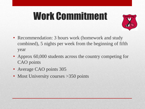#### Work Commitment



- Recommendation: 3 hours work (homework and study combined), 5 nights per week from the beginning of fifth year
- Approx 60,000 students across the country competing for CAO points
- Average CAO points 305
- Most University courses > 350 points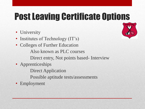#### Post Leaving Certificate Options

- University
- Institutes of Technology (IT's)
- Colleges of Further Education Also known as PLC courses Direct entry, Not points based- Interview
- Apprenticeships
	- Direct Application
	- Possible aptitude tests/assessments
- **Employment**

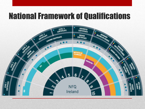#### National Framework of Qualifications

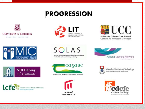

#### **PROGRESSION**













SOLAS

An tSeirbhis Oldeachais Leanúnaigh agus Scileanna Further Education and Training Authority

eagasc

AGEICULTURE AND FOOD DEVELOPMENT AUTHORITY





Waterford Institute of Technology INSTITUID TEICNEOLAÍOCHTA PHORT LÁBOE

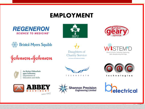#### **EMPLOYMENT**





Daughters of

**Charity Service** 

For Persons with handlersual Disability





#### Johnson&Johnson



An Roinn Oideachais agus Scileanna Department of **Education and Skills** 





CHNOPATH





technologies

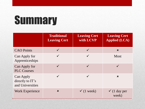## **Summary**

|                                                          | <b>Traditional</b><br><b>Leaving Cert</b> | <b>Leaving Cert</b><br>with LCVP | <b>Leaving Cert</b><br><b>Applied (LCA)</b> |
|----------------------------------------------------------|-------------------------------------------|----------------------------------|---------------------------------------------|
| <b>CAO</b> Points                                        |                                           | $\checkmark$                     | $\boldsymbol{\mathsf{x}}$                   |
| Can Apply for<br>Apprenticeships                         |                                           | $\checkmark$                     | <b>Most</b>                                 |
| Can Apply for<br><b>PLC Courses</b>                      | $\checkmark$                              | $\checkmark$                     |                                             |
| <b>Can Apply</b><br>directly to IT's<br>and Universities | $\checkmark$                              | $\checkmark$                     | $\boldsymbol{\mathsf{x}}$                   |
| <b>Work Experience</b>                                   | $\boldsymbol{\mathsf{x}}$                 | $\checkmark$ (1 week)            | $\checkmark$ (1 day per<br>week)            |